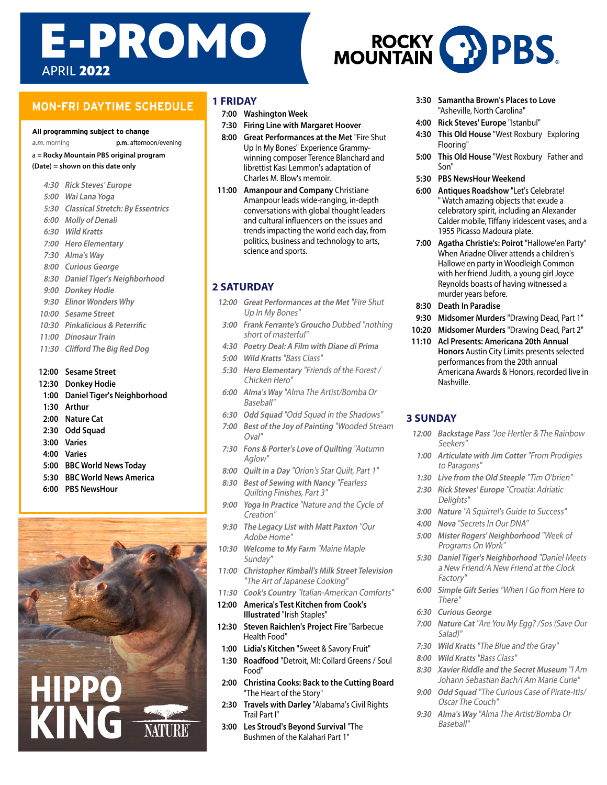# APRIL **2022** E-PROMO

## **MON-FRI DAYTIME SCHEDULE**

#### All programming subject to change

**a.m.** morning **p.m.** afternoon/evening

a **= Rocky Mountain PBS original program**

#### **(Date) = shown on this date only**

- **4:30 Rick Steves' Europe**
- **5:00 Wai Lana Yoga**
- **5:30 Classical Stretch: By Essentrics**
- **6:00 Molly of Denali**
- **6:30 Wild Kratts**
- **7:00 Hero Elementary**
- **7:30 Alma's Way**
- **8:00 Curious George**
- **8:30 Daniel Tiger's Neighborhood**
- **9:00 Donkey Hodie**
- **9:30 Elinor Wonders Why**
- **10:00 Sesame Street**
- **10:30 Pinkalicious & Peterrific**
- **11:00 Dinosaur Train**
- **11:30 Clifford The Big Red Dog**
- **12:00 Sesame Street**
- **12:30 Donkey Hodie**
- **1:00 Daniel Tiger's Neighborhood**
- **1:30 Arthur**
- **2:00 Nature Cat**
- **2:30 Odd Squad**
- **3:00 Varies**
- **4:00 Varies**
- **5:00 BBC World News Today**
- **5:30 BBC World News America**
- **6:00 PBS NewsHour**



#### **1 FRIDAY**

- **7:00 Washington Week**
- **7:30 Firing Line with Margaret Hoover**
- **8:00 Great Performances at the Met** "Fire Shut Up In My Bones" Experience Grammywinning composer Terence Blanchard and librettist Kasi Lemmon's adaptation of Charles M. Blow's memoir.
- **11:00 Amanpour and Company** Christiane Amanpour leads wide-ranging, in-depth conversations with global thought leaders and cultural influencers on the issues and trends impacting the world each day, from politics, business and technology to arts, science and sports.

## **2 SATURDAY**

- **12:00 Great Performances at the Met** "Fire Shut Up In My Bones"
- **3:00 Frank Ferrante's Groucho** Dubbed "nothing short of masterful"
- **4:30 Poetry Deal: A Film with Diane di Prima**
- **5:00 Wild Kratts** "Bass Class"
- **5:30 Hero Elementary** "Friends of the Forest / Chicken Hero"
- **6:00 Alma's Way** "Alma The Artist/Bomba Or Baseball"
- **6:30 Odd Squad** "Odd Squad in the Shadows"
- **7:00 Best of the Joy of Painting** "Wooded Stream Oval"
- **7:30 Fons & Porter's Love of Quilting** "Autumn Aglow"
- **8:00 Quilt in a Day** "Orion's Star Quilt, Part 1"
- **8:30 Best of Sewing with Nancy** "Fearless Quilting Finishes, Part 3"
- **9:00 Yoga In Practice** "Nature and the Cycle of Creation"
- **9:30 The Legacy List with Matt Paxton** "Our Adobe Home"
- **10:30 Welcome to My Farm** "Maine Maple Sunday"
- **11:00 Christopher Kimball's Milk Street Television**  "The Art of Japanese Cooking"
- **11:30 Cook's Country** "Italian-American Comforts"
- **12:00 America's Test Kitchen from Cook's Illustrated** "Irish Staples"
- **12:30 Steven Raichlen's Project Fire** "Barbecue Health Food"
- **1:00 Lidia's Kitchen** "Sweet & Savory Fruit"
- **1:30 Roadfood** "Detroit, MI: Collard Greens / Soul Food"
- **2:00 Christina Cooks: Back to the Cutting Board** "The Heart of the Story"
- **2:30 Travels with Darley** "Alabama's Civil Rights Trail Part I"
- **3:00 Les Stroud's Beyond Survival** "The Bushmen of the Kalahari Part 1"
- **3:30 Samantha Brown's Places to Love** "Asheville, North Carolina"
- **4:00 Rick Steves' Europe** "Istanbul"
- **4:30 This Old House** "West Roxbury Exploring Flooring"
- **5:00 This Old House** "West Roxbury Father and Son"
- **5:30 PBS NewsHour Weekend**
- **6:00 Antiques Roadshow** "Let's Celebrate! " Watch amazing objects that exude a celebratory spirit, including an Alexander Calder mobile, Tiffany iridescent vases, and a 1955 Picasso Madoura plate.
- **7:00 Agatha Christie's: Poirot** "Hallowe'en Party" When Ariadne Oliver attends a children's Hallowe'en party in Woodleigh Common with her friend Judith, a young girl Joyce Reynolds boasts of having witnessed a murder years before.
- **8:30 Death In Paradise**
- **9:30 Midsomer Murders** "Drawing Dead, Part 1"
- **10:20 Midsomer Murders** "Drawing Dead, Part 2"
- **11:10 Acl Presents: Americana 20th Annual Honors** Austin City Limits presents selected performances from the 20th annual Americana Awards & Honors, recorded live in Nashville.

#### **3 SUNDAY**

- **12:00 Backstage Pass** "Joe Hertler & The Rainbow Seekers"
- **1:00 Articulate with Jim Cotter** "From Prodigies to Paragons"
- **1:30 Live from the Old Steeple** "Tim O'brien"
- **2:30 Rick Steves' Europe** "Croatia: Adriatic Delights"
- **3:00 Nature** "A Squirrel's Guide to Success"
- **4:00 Nova** "Secrets In Our DNA"
- **5:00 Mister Rogers' Neighborhood** "Week of Programs On Work"
- **5:30 Daniel Tiger's Neighborhood** "Daniel Meets a New Friend/A New Friend at the Clock Factory"
- **6:00 Simple Gift Series** "When I Go from Here to There"
- **6:30 Curious George**
- **7:00 Nature Cat** "Are You My Egg? /Sos (Save Our Salad)"
- **7:30 Wild Kratts** "The Blue and the Gray"
- **8:00 Wild Kratts** "Bass Class"
- **8:30 Xavier Riddle and the Secret Museum** "I Am Johann Sebastian Bach/I Am Marie Curie"
- **9:00 Odd Squad** "The Curious Case of Pirate-Itis/ Oscar The Couch"
- **9:30 Alma's Way** "Alma The Artist/Bomba Or Baseball"

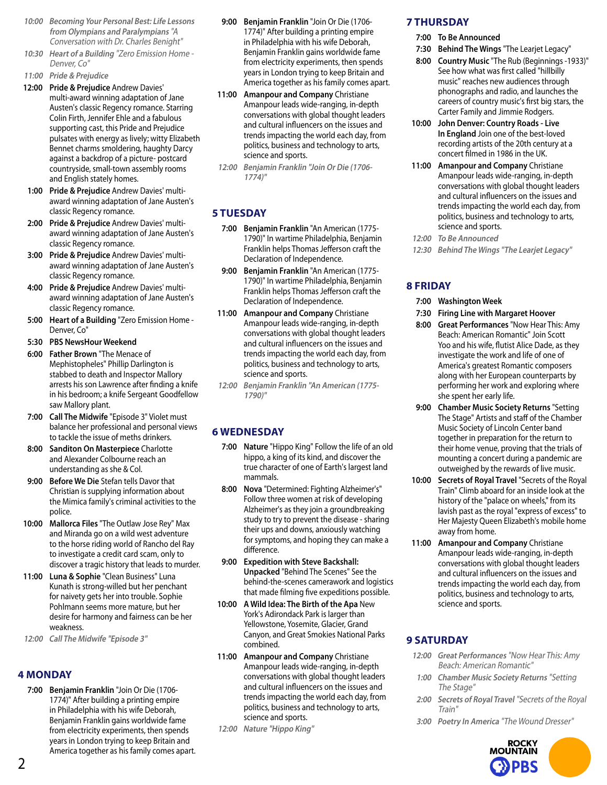- **10:00 Becoming Your Personal Best: Life Lessons from Olympians and Paralympians** "A Conversation with Dr. Charles Benight"
- **10:30 Heart of a Building** "Zero Emission Home Denver, Co"
- **11:00 Pride & Prejudice**
- **12:00 Pride & Prejudice** Andrew Davies' multi-award winning adaptation of Jane Austen's classic Regency romance. Starring Colin Firth, Jennifer Ehle and a fabulous supporting cast, this Pride and Prejudice pulsates with energy as lively; witty Elizabeth Bennet charms smoldering, haughty Darcy against a backdrop of a picture- postcard countryside, small-town assembly rooms and English stately homes.
- **1:00 Pride & Prejudice** Andrew Davies' multiaward winning adaptation of Jane Austen's classic Regency romance.
- **2:00 Pride & Prejudice** Andrew Davies' multiaward winning adaptation of Jane Austen's classic Regency romance.
- **3:00 Pride & Prejudice** Andrew Davies' multiaward winning adaptation of Jane Austen's classic Regency romance.
- **4:00 Pride & Prejudice** Andrew Davies' multiaward winning adaptation of Jane Austen's classic Regency romance.
- **5:00 Heart of a Building** "Zero Emission Home Denver, Co"
- **5:30 PBS NewsHour Weekend**
- **6:00 Father Brown** "The Menace of Mephistopheles" Phillip Darlington is stabbed to death and Inspector Mallory arrests his son Lawrence after finding a knife in his bedroom; a knife Sergeant Goodfellow saw Mallory plant.
- **7:00 Call The Midwife** "Episode 3" Violet must balance her professional and personal views to tackle the issue of meths drinkers.
- **8:00 Sanditon On Masterpiece** Charlotte and Alexander Colbourne reach an understanding as she & Col.
- **9:00 Before We Die** Stefan tells Davor that Christian is supplying information about the Mimica family's criminal activities to the police.
- **10:00 Mallorca Files** "The Outlaw Jose Rey" Max and Miranda go on a wild west adventure to the horse riding world of Rancho del Ray to investigate a credit card scam, only to discover a tragic history that leads to murder.
- **11:00 Luna & Sophie** "Clean Business" Luna Kunath is strong-willed but her penchant for naivety gets her into trouble. Sophie Pohlmann seems more mature, but her desire for harmony and fairness can be her weakness.
- **12:00 Call The Midwife "Episode 3"**

## **4 MONDAY**

**7:00 Benjamin Franklin** "Join Or Die (1706- 1774)" After building a printing empire in Philadelphia with his wife Deborah, Benjamin Franklin gains worldwide fame from electricity experiments, then spends years in London trying to keep Britain and America together as his family comes apart.

- **9:00 Benjamin Franklin** "Join Or Die (1706- 1774)" After building a printing empire in Philadelphia with his wife Deborah, Benjamin Franklin gains worldwide fame from electricity experiments, then spends years in London trying to keep Britain and America together as his family comes apart.
- **11:00 Amanpour and Company** Christiane Amanpour leads wide-ranging, in-depth conversations with global thought leaders and cultural influencers on the issues and trends impacting the world each day, from politics, business and technology to arts, science and sports.
- **12:00 Benjamin Franklin "Join Or Die (1706- 1774)"**

# **5 TUESDAY**

- **7:00 Benjamin Franklin** "An American (1775- 1790)" In wartime Philadelphia, Benjamin Franklin helps Thomas Jefferson craft the Declaration of Independence.
- **9:00 Benjamin Franklin** "An American (1775- 1790)" In wartime Philadelphia, Benjamin Franklin helps Thomas Jefferson craft the Declaration of Independence.
- **11:00 Amanpour and Company** Christiane Amanpour leads wide-ranging, in-depth conversations with global thought leaders and cultural influencers on the issues and trends impacting the world each day, from politics, business and technology to arts, science and sports.
- **12:00 Benjamin Franklin "An American (1775- 1790)"**

## **6 WEDNESDAY**

- **7:00 Nature** "Hippo King" Follow the life of an old hippo, a king of its kind, and discover the true character of one of Earth's largest land mammals.
- **8:00 Nova** "Determined: Fighting Alzheimer's" Follow three women at risk of developing Alzheimer's as they join a groundbreaking study to try to prevent the disease - sharing their ups and downs, anxiously watching for symptoms, and hoping they can make a difference.
- **9:00 Expedition with Steve Backshall: Unpacked** "Behind The Scenes" See the behind-the-scenes camerawork and logistics that made filming five expeditions possible.
- **10:00 A Wild Idea: The Birth of the Apa** New York's Adirondack Park is larger than Yellowstone, Yosemite, Glacier, Grand Canyon, and Great Smokies National Parks combined.
- **11:00 Amanpour and Company** Christiane Amanpour leads wide-ranging, in-depth conversations with global thought leaders and cultural influencers on the issues and trends impacting the world each day, from politics, business and technology to arts, science and sports.
- **12:00 Nature "Hippo King"**

## **7 THURSDAY**

- **7:00 To Be Announced**
- **7:30 Behind The Wings** "The Learjet Legacy"
- **8:00 Country Music** "The Rub (Beginnings -1933)" See how what was first called "hillbilly music" reaches new audiences through phonographs and radio, and launches the careers of country music's first big stars, the Carter Family and Jimmie Rodgers.
- **10:00 John Denver: Country Roads Live In England** Join one of the best-loved recording artists of the 20th century at a concert filmed in 1986 in the UK.
- **11:00 Amanpour and Company** Christiane Amanpour leads wide-ranging, in-depth conversations with global thought leaders and cultural influencers on the issues and trends impacting the world each day, from politics, business and technology to arts, science and sports.
- **12:00 To Be Announced**
- **12:30 Behind The Wings "The Learjet Legacy"**

## **8 FRIDAY**

- **7:00 Washington Week**
- **7:30 Firing Line with Margaret Hoover**
- **8:00 Great Performances** "Now Hear This: Amy Beach: American Romantic" Join Scott Yoo and his wife, flutist Alice Dade, as they investigate the work and life of one of America's greatest Romantic composers along with her European counterparts by performing her work and exploring where she spent her early life.
- **9:00 Chamber Music Society Returns** "Setting The Stage" Artists and staff of the Chamber Music Society of Lincoln Center band together in preparation for the return to their home venue, proving that the trials of mounting a concert during a pandemic are outweighed by the rewards of live music.
- **10:00 Secrets of Royal Travel** "Secrets of the Royal Train" Climb aboard for an inside look at the history of the "palace on wheels," from its lavish past as the royal "express of excess" to Her Majesty Queen Elizabeth's mobile home away from home.
- **11:00 Amanpour and Company** Christiane Amanpour leads wide-ranging, in-depth conversations with global thought leaders and cultural influencers on the issues and trends impacting the world each day, from politics, business and technology to arts, science and sports.

## **9 SATURDAY**

- **12:00 Great Performances** "Now Hear This: Amy Beach: American Romantic"
- **1:00 Chamber Music Society Returns** "Setting The Stage"
- **2:00 Secrets of Royal Travel** "Secrets of the Royal Train"
- **3:00 Poetry In America** "The Wound Dresser"

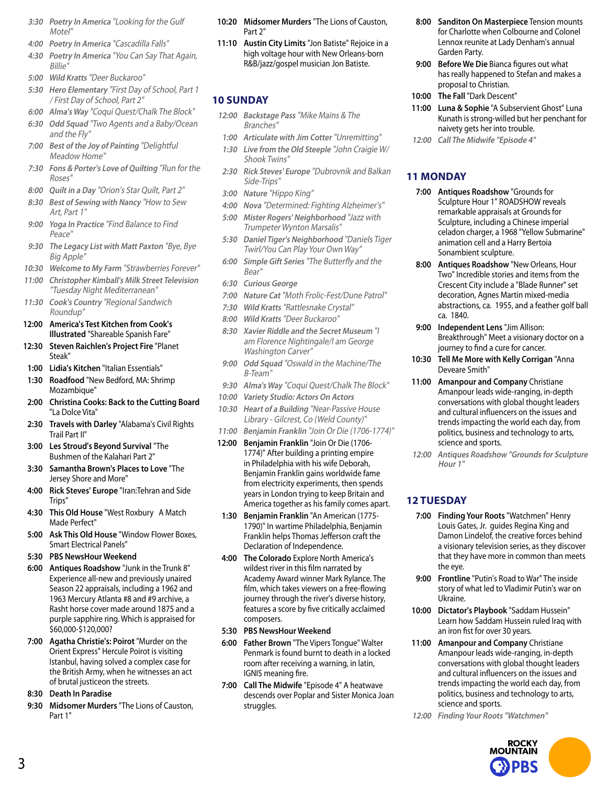- **3:30 Poetry In America** "Looking for the Gulf Motel"
- **4:00 Poetry In America** "Cascadilla Falls"
- **4:30 Poetry In America** "You Can Say That Again, Billie"
- **5:00 Wild Kratts** "Deer Buckaroo"
- **5:30 Hero Elementary** "First Day of School, Part 1 / First Day of School, Part 2"
- **6:00 Alma's Way** "Coqui Quest/Chalk The Block"
- **6:30 Odd Squad** "Two Agents and a Baby/Ocean and the Fly"
- **7:00 Best of the Joy of Painting** "Delightful Meadow Home"
- **7:30 Fons & Porter's Love of Quilting** "Run for the Roses"
- **8:00 Quilt in a Day** "Orion's Star Quilt, Part 2"
- **8:30 Best of Sewing with Nancy** "How to Sew Art, Part 1"
- **9:00 Yoga In Practice** "Find Balance to Find Peace"
- **9:30 The Legacy List with Matt Paxton** "Bye, Bye Big Apple"
- **10:30 Welcome to My Farm** "Strawberries Forever"
- **11:00 Christopher Kimball's Milk Street Television**  "Tuesday Night Mediterranean"
- **11:30 Cook's Country** "Regional Sandwich Roundup"
- **12:00 America's Test Kitchen from Cook's Illustrated** "Shareable Spanish Fare"
- **12:30 Steven Raichlen's Project Fire** "Planet Steak"
- **1:00 Lidia's Kitchen** "Italian Essentials"
- **1:30 Roadfood** "New Bedford, MA: Shrimp Mozambique"
- **2:00 Christina Cooks: Back to the Cutting Board** "La Dolce Vita"
- **2:30 Travels with Darley** "Alabama's Civil Rights Trail Part II"
- **3:00 Les Stroud's Beyond Survival** "The Bushmen of the Kalahari Part 2"
- **3:30 Samantha Brown's Places to Love** "The Jersey Shore and More"
- **4:00 Rick Steves' Europe** "Iran:Tehran and Side Trips"
- **4:30 This Old House** "West Roxbury A Match Made Perfect"
- **5:00 Ask This Old House** "Window Flower Boxes, Smart Electrical Panels"
- **5:30 PBS NewsHour Weekend**
- **6:00 Antiques Roadshow** "Junk in the Trunk 8" Experience all-new and previously unaired Season 22 appraisals, including a 1962 and 1963 Mercury Atlanta #8 and #9 archive, a Rasht horse cover made around 1875 and a purple sapphire ring. Which is appraised for \$60,000-\$120,000?
- **7:00 Agatha Christie's: Poirot** "Murder on the Orient Express" Hercule Poirot is visiting Istanbul, having solved a complex case for the British Army, when he witnesses an act of brutal justiceon the streets.
- **8:30 Death In Paradise**
- **9:30 Midsomer Murders** "The Lions of Causton, Part 1"
- **10:20 Midsomer Murders** "The Lions of Causton, Part 2"
- **11:10 Austin City Limits** "Jon Batiste" Rejoice in a high voltage hour with New Orleans-born R&B/jazz/gospel musician Jon Batiste.

## **10 SUNDAY**

- **12:00 Backstage Pass** "Mike Mains & The Branches"
- **1:00 Articulate with Jim Cotter** "Unremitting"
- **1:30 Live from the Old Steeple** "John Craigie W/ Shook Twins"
- **2:30 Rick Steves' Europe** "Dubrovnik and Balkan Side-Trips"
- **3:00 Nature** "Hippo King"
- **4:00 Nova** "Determined: Fighting Alzheimer's"
- **5:00 Mister Rogers' Neighborhood** "Jazz with Trumpeter Wynton Marsalis"
- **5:30 Daniel Tiger's Neighborhood** "Daniels Tiger Twirl/You Can Play Your Own Way"
- **6:00 Simple Gift Series** "The Butterfly and the Bear"
- **6:30 Curious George**
- **7:00 Nature Cat** "Moth Frolic-Fest/Dune Patrol"
- **7:30 Wild Kratts** "Rattlesnake Crystal"
- **8:00 Wild Kratts** "Deer Buckaroo"
- **8:30 Xavier Riddle and the Secret Museum** "I am Florence Nightingale/I am George Washington Carver"
- **9:00 Odd Squad** "Oswald in the Machine/The B-Team"
- **9:30 Alma's Way** "Coqui Quest/Chalk The Block"
- **10:00 Variety Studio: Actors On Actors**
- **10:30 Heart of a Building** "Near-Passive House Library - Gilcrest, Co (Weld County)"
- **11:00 Benjamin Franklin** "Join Or Die (1706-1774)"
- **12:00 Benjamin Franklin** "Join Or Die (1706- 1774)" After building a printing empire in Philadelphia with his wife Deborah, Benjamin Franklin gains worldwide fame from electricity experiments, then spends years in London trying to keep Britain and America together as his family comes apart.
- **1:30 Benjamin Franklin** "An American (1775- 1790)" In wartime Philadelphia, Benjamin Franklin helps Thomas Jefferson craft the Declaration of Independence.
- **4:00 The Colorado** Explore North America's wildest river in this film narrated by Academy Award winner Mark Rylance. The film, which takes viewers on a free-flowing journey through the river's diverse history, features a score by five critically acclaimed composers.
- **5:30 PBS NewsHour Weekend**
- **6:00 Father Brown** "The Vipers Tongue" Walter Penmark is found burnt to death in a locked room after receiving a warning, in latin, IGNIS meaning fire.
- **7:00 Call The Midwife** "Episode 4" A heatwave descends over Poplar and Sister Monica Joan struggles.
- **8:00 Sanditon On Masterpiece** Tension mounts for Charlotte when Colbourne and Colonel Lennox reunite at Lady Denham's annual Garden Party.
- **9:00 Before We Die** Bianca figures out what has really happened to Stefan and makes a proposal to Christian.
- **10:00 The Fall** "Dark Descent"
- **11:00 Luna & Sophie** "A Subservient Ghost" Luna Kunath is strong-willed but her penchant for naivety gets her into trouble.
- **12:00 Call The Midwife "Episode 4"**

## **11 MONDAY**

- **7:00 Antiques Roadshow** "Grounds for Sculpture Hour 1" ROADSHOW reveals remarkable appraisals at Grounds for Sculpture, including a Chinese imperial celadon charger, a 1968 "Yellow Submarine" animation cell and a Harry Bertoia Sonambient sculpture.
- **8:00 Antiques Roadshow** "New Orleans, Hour Two" Incredible stories and items from the Crescent City include a "Blade Runner" set decoration, Agnes Martin mixed-media abstractions, ca. 1955, and a feather golf ball ca. 1840.
- **9:00 Independent Lens** "Jim Allison: Breakthrough" Meet a visionary doctor on a journey to find a cure for cancer.
- **10:30 Tell Me More with Kelly Corrigan** "Anna Deveare Smith"
- **11:00 Amanpour and Company** Christiane Amanpour leads wide-ranging, in-depth conversations with global thought leaders and cultural influencers on the issues and trends impacting the world each day, from politics, business and technology to arts, science and sports.
- **12:00 Antiques Roadshow "Grounds for Sculpture Hour 1"**

## **12 TUESDAY**

- **7:00 Finding Your Roots** "Watchmen" Henry Louis Gates, Jr. guides Regina King and Damon Lindelof, the creative forces behind a visionary television series, as they discover that they have more in common than meets the eye.
- **9:00 Frontline** "Putin's Road to War" The inside story of what led to Vladimir Putin's war on Ukraine.
- **10:00 Dictator's Playbook** "Saddam Hussein" Learn how Saddam Hussein ruled Iraq with an iron fist for over 30 years.
- **11:00 Amanpour and Company** Christiane Amanpour leads wide-ranging, in-depth conversations with global thought leaders and cultural influencers on the issues and trends impacting the world each day, from politics, business and technology to arts, science and sports.
- **12:00 Finding Your Roots "Watchmen"**

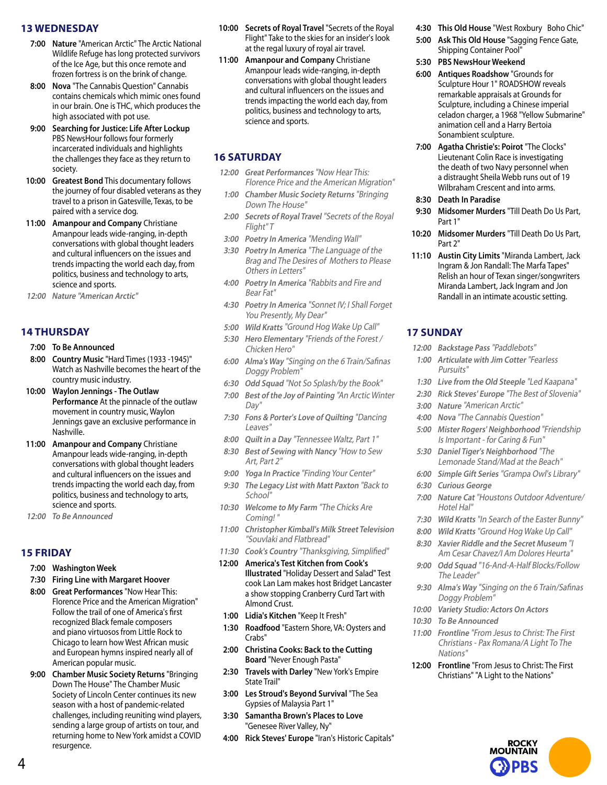#### **13 WEDNESDAY**

- **7:00 Nature** "American Arctic" The Arctic National Wildlife Refuge has long protected survivors of the Ice Age, but this once remote and frozen fortress is on the brink of change.
- **8:00 Nova** "The Cannabis Question" Cannabis contains chemicals which mimic ones found in our brain. One is THC, which produces the high associated with pot use.
- **9:00 Searching for Justice: Life After Lockup** PBS NewsHour follows four formerly incarcerated individuals and highlights the challenges they face as they return to society.
- **10:00 Greatest Bond** This documentary follows the journey of four disabled veterans as they travel to a prison in Gatesville, Texas, to be paired with a service dog.
- **11:00 Amanpour and Company** Christiane Amanpour leads wide-ranging, in-depth conversations with global thought leaders and cultural influencers on the issues and trends impacting the world each day, from politics, business and technology to arts, science and sports.
- **12:00 Nature "American Arctic"**

#### **14 THURSDAY**

- **7:00 To Be Announced**
- **8:00 Country Music** "Hard Times (1933 -1945)" Watch as Nashville becomes the heart of the country music industry.
- **10:00 Waylon Jennings The Outlaw Performance** At the pinnacle of the outlaw movement in country music, Waylon Jennings gave an exclusive performance in Nashville.
- **11:00 Amanpour and Company** Christiane Amanpour leads wide-ranging, in-depth conversations with global thought leaders and cultural influencers on the issues and trends impacting the world each day, from politics, business and technology to arts, science and sports.
- **12:00 To Be Announced**

#### **15 FRIDAY**

- **7:00 Washington Week**
- **7:30 Firing Line with Margaret Hoover**
- **8:00 Great Performances** "Now Hear This: Florence Price and the American Migration" Follow the trail of one of America's first recognized Black female composers and piano virtuosos from Little Rock to Chicago to learn how West African music and European hymns inspired nearly all of American popular music.
- **9:00 Chamber Music Society Returns** "Bringing Down The House" The Chamber Music Society of Lincoln Center continues its new season with a host of pandemic-related challenges, including reuniting wind players, sending a large group of artists on tour, and returning home to New York amidst a COVID resurgence.
- **10:00 Secrets of Royal Travel** "Secrets of the Royal Flight" Take to the skies for an insider's look at the regal luxury of royal air travel.
- **11:00 Amanpour and Company** Christiane Amanpour leads wide-ranging, in-depth conversations with global thought leaders and cultural influencers on the issues and trends impacting the world each day, from politics, business and technology to arts, science and sports.

#### **16 SATURDAY**

- **12:00 Great Performances** "Now Hear This: Florence Price and the American Migration"
- **1:00 Chamber Music Society Returns** "Bringing Down The House"
- **2:00 Secrets of Royal Travel** "Secrets of the Royal Flight" T
- **3:00 Poetry In America** "Mending Wall"
- **3:30 Poetry In America** "The Language of the Brag and The Desires of Mothers to Please Others in Letters"
- **4:00 Poetry In America** "Rabbits and Fire and Bear Fat"
- **4:30 Poetry In America** "Sonnet IV; I Shall Forget You Presently, My Dear"
- **5:00 Wild Kratts** "Ground Hog Wake Up Call"
- **5:30 Hero Elementary** "Friends of the Forest / Chicken Hero"
- **6:00 Alma's Way** "Singing on the 6 Train/Safinas Doggy Problem"
- **6:30 Odd Squad** "Not So Splash/by the Book"
- **7:00 Best of the Joy of Painting** "An Arctic Winter Day"
- **7:30 Fons & Porter's Love of Quilting** "Dancing Leaves"
- **8:00 Quilt in a Day** "Tennessee Waltz, Part 1"
- **8:30 Best of Sewing with Nancy** "How to Sew Art, Part 2"
- **9:00 Yoga In Practice** "Finding Your Center"
- **9:30 The Legacy List with Matt Paxton** "Back to School"
- **10:30 Welcome to My Farm** "The Chicks Are Coming! "
- **11:00 Christopher Kimball's Milk Street Television**  "Souvlaki and Flatbread"
- **11:30 Cook's Country** "Thanksgiving, Simplified"
- **12:00 America's Test Kitchen from Cook's Illustrated** "Holiday Dessert and Salad" Test cook Lan Lam makes host Bridget Lancaster a show stopping Cranberry Curd Tart with Almond Crust.
- **1:00 Lidia's Kitchen** "Keep It Fresh"
- **1:30 Roadfood** "Eastern Shore, VA: Oysters and Crabs"
- **2:00 Christina Cooks: Back to the Cutting Board** "Never Enough Pasta"
- **2:30 Travels with Darley** "New York's Empire State Trail"
- **3:00 Les Stroud's Beyond Survival** "The Sea Gypsies of Malaysia Part 1"
- **3:30 Samantha Brown's Places to Love** "Genesee River Valley, Ny"
- **4:00 Rick Steves' Europe** "Iran's Historic Capitals"
- **4:30 This Old House** "West Roxbury Boho Chic"
- **5:00 Ask This Old House** "Sagging Fence Gate, Shipping Container Pool"
- **5:30 PBS NewsHour Weekend**
- **6:00 Antiques Roadshow** "Grounds for Sculpture Hour 1" ROADSHOW reveals remarkable appraisals at Grounds for Sculpture, including a Chinese imperial celadon charger, a 1968 "Yellow Submarine" animation cell and a Harry Bertoia Sonambient sculpture.
- **7:00 Agatha Christie's: Poirot** "The Clocks" Lieutenant Colin Race is investigating the death of two Navy personnel when a distraught Sheila Webb runs out of 19 Wilbraham Crescent and into arms.
- **8:30 Death In Paradise**
- **9:30 Midsomer Murders** "Till Death Do Us Part, Part 1"
- **10:20 Midsomer Murders** "Till Death Do Us Part, Part 2"
- **11:10 Austin City Limits** "Miranda Lambert, Jack Ingram & Jon Randall: The Marfa Tapes" Relish an hour of Texan singer/songwriters Miranda Lambert, Jack Ingram and Jon Randall in an intimate acoustic setting.

## **17 SUNDAY**

- **12:00 Backstage Pass** "Paddlebots"
- **1:00 Articulate with Jim Cotter** "Fearless Pursuits"
- **1:30 Live from the Old Steeple** "Led Kaapana"
- **2:30 Rick Steves' Europe** "The Best of Slovenia"
- **3:00 Nature** "American Arctic"
- **4:00 Nova** "The Cannabis Question"
- **5:00 Mister Rogers' Neighborhood** "Friendship Is Important - for Caring & Fun"
- **5:30 Daniel Tiger's Neighborhood** "The Lemonade Stand/Mad at the Beach"
- **6:00 Simple Gift Series** "Grampa Owl's Library"
- **6:30 Curious George**
- **7:00 Nature Cat** "Houstons Outdoor Adventure/ Hotel Hal"
- **7:30 Wild Kratts** "In Search of the Easter Bunny"
- **8:00 Wild Kratts** "Ground Hog Wake Up Call"
- **8:30 Xavier Riddle and the Secret Museum** "I Am Cesar Chavez/I Am Dolores Heurta"
- **9:00 Odd Squad** "16-And-A-Half Blocks/Follow The Leader"
- **9:30 Alma's Way** "Singing on the 6 Train/Safinas Doggy Problem"
- **10:00 Variety Studio: Actors On Actors**
- **10:30 To Be Announced**
- **11:00 Frontline** "From Jesus to Christ: The First Christians - Pax Romana/A Light To The Nations"
- **12:00 Frontline** "From Jesus to Christ: The First Christians" "A Light to the Nations"

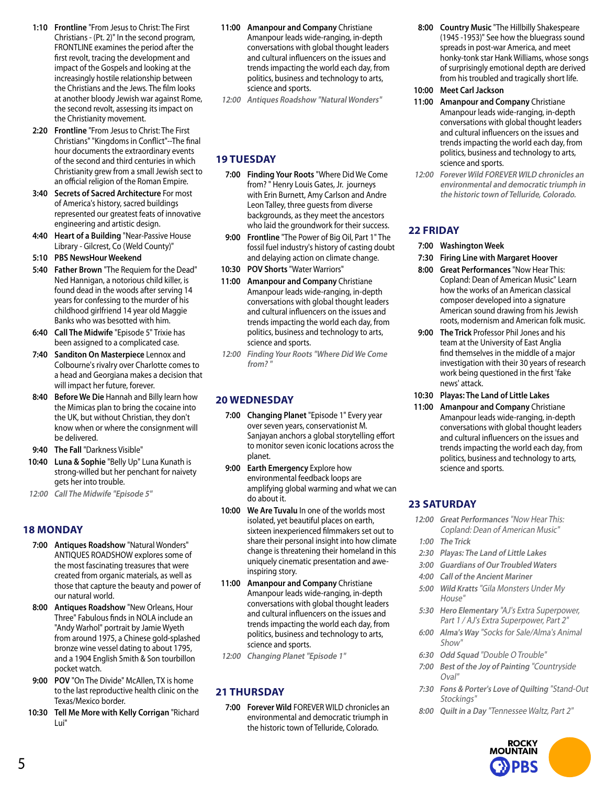- **1:10 Frontline** "From Jesus to Christ: The First Christians - (Pt. 2)" In the second program, FRONTLINE examines the period after the first revolt, tracing the development and impact of the Gospels and looking at the increasingly hostile relationship between the Christians and the Jews. The film looks at another bloody Jewish war against Rome, the second revolt, assessing its impact on the Christianity movement.
- **2:20 Frontline** "From Jesus to Christ: The First Christians" "Kingdoms in Conflict"--The final hour documents the extraordinary events of the second and third centuries in which Christianity grew from a small Jewish sect to an official religion of the Roman Empire.
- **3:40 Secrets of Sacred Architecture** For most of America's history, sacred buildings represented our greatest feats of innovative engineering and artistic design.
- **4:40 Heart of a Building** "Near-Passive House Library - Gilcrest, Co (Weld County)"
- **5:10 PBS NewsHour Weekend**
- **5:40 Father Brown** "The Requiem for the Dead" Ned Hannigan, a notorious child killer, is found dead in the woods after serving 14 years for confessing to the murder of his childhood girlfriend 14 year old Maggie Banks who was besotted with him.
- **6:40 Call The Midwife** "Episode 5" Trixie has been assigned to a complicated case.
- **7:40 Sanditon On Masterpiece** Lennox and Colbourne's rivalry over Charlotte comes to a head and Georgiana makes a decision that will impact her future, forever.
- **8:40 Before We Die** Hannah and Billy learn how the Mimicas plan to bring the cocaine into the UK, but without Christian, they don't know when or where the consignment will be delivered.
- **9:40 The Fall** "Darkness Visible"
- **10:40 Luna & Sophie** "Belly Up" Luna Kunath is strong-willed but her penchant for naivety gets her into trouble.
- **12:00 Call The Midwife "Episode 5"**

#### **18 MONDAY**

- **7:00 Antiques Roadshow** "Natural Wonders" ANTIQUES ROADSHOW explores some of the most fascinating treasures that were created from organic materials, as well as those that capture the beauty and power of our natural world.
- **8:00 Antiques Roadshow** "New Orleans, Hour Three" Fabulous finds in NOLA include an "Andy Warhol" portrait by Jamie Wyeth from around 1975, a Chinese gold-splashed bronze wine vessel dating to about 1795, and a 1904 English Smith & Son tourbillon pocket watch.
- **9:00 POV** "On The Divide" McAllen, TX is home to the last reproductive health clinic on the Texas/Mexico border.
- **10:30 Tell Me More with Kelly Corrigan** "Richard Lui"
- **11:00 Amanpour and Company** Christiane Amanpour leads wide-ranging, in-depth conversations with global thought leaders and cultural influencers on the issues and trends impacting the world each day, from politics, business and technology to arts, science and sports.
- **12:00 Antiques Roadshow "Natural Wonders"**

#### **19 TUESDAY**

- **7:00 Finding Your Roots** "Where Did We Come from? " Henry Louis Gates, Jr. journeys with Erin Burnett, Amy Carlson and Andre Leon Talley, three guests from diverse backgrounds, as they meet the ancestors who laid the groundwork for their success.
- **9:00 Frontline** "The Power of Big Oil, Part 1" The fossil fuel industry's history of casting doubt and delaying action on climate change.
- **10:30 POV Shorts** "Water Warriors"
- **11:00 Amanpour and Company** Christiane Amanpour leads wide-ranging, in-depth conversations with global thought leaders and cultural influencers on the issues and trends impacting the world each day, from politics, business and technology to arts, science and sports.
- **12:00 Finding Your Roots "Where Did We Come**  from?

#### **20 WEDNESDAY**

- **7:00 Changing Planet** "Episode 1" Every year over seven years, conservationist M. Sanjayan anchors a global storytelling effort to monitor seven iconic locations across the planet.
- **9:00 Earth Emergency** Explore how environmental feedback loops are amplifying global warming and what we can do about it.
- **10:00 We Are Tuvalu** In one of the worlds most isolated, yet beautiful places on earth, sixteen inexperienced filmmakers set out to share their personal insight into how climate change is threatening their homeland in this uniquely cinematic presentation and aweinspiring story.
- **11:00 Amanpour and Company** Christiane Amanpour leads wide-ranging, in-depth conversations with global thought leaders and cultural influencers on the issues and trends impacting the world each day, from politics, business and technology to arts, science and sports.
- **12:00 Changing Planet "Episode 1"**

## **21 THURSDAY**

**7:00 Forever Wild** FOREVER WILD chronicles an environmental and democratic triumph in the historic town of Telluride, Colorado.

- **8:00 Country Music** "The Hillbilly Shakespeare (1945 -1953)" See how the bluegrass sound spreads in post-war America, and meet honky-tonk star Hank Williams, whose songs of surprisingly emotional depth are derived from his troubled and tragically short life.
- **10:00 Meet Carl Jackson**
- **11:00 Amanpour and Company** Christiane Amanpour leads wide-ranging, in-depth conversations with global thought leaders and cultural influencers on the issues and trends impacting the world each day, from politics, business and technology to arts, science and sports.
- **12:00 Forever Wild FOREVER WILD chronicles an environmental and democratic triumph in the historic town of Telluride, Colorado.**

## **22 FRIDAY**

- **7:00 Washington Week**
- **7:30 Firing Line with Margaret Hoover**
- **8:00 Great Performances** "Now Hear This: Copland: Dean of American Music" Learn how the works of an American classical composer developed into a signature American sound drawing from his Jewish roots, modernism and American folk music.
- **9:00 The Trick** Professor Phil Jones and his team at the University of East Anglia find themselves in the middle of a major investigation with their 30 years of research work being questioned in the first 'fake news' attack.
- **10:30 Playas: The Land of Little Lakes**
- **11:00 Amanpour and Company** Christiane Amanpour leads wide-ranging, in-depth conversations with global thought leaders and cultural influencers on the issues and trends impacting the world each day, from politics, business and technology to arts, science and sports.

## **23 SATURDAY**

- **12:00 Great Performances** "Now Hear This: Copland: Dean of American Music"
- **1:00 The Trick**
- **2:30 Playas: The Land of Little Lakes**
- **3:00 Guardians of Our Troubled Waters**
- **4:00 Call of the Ancient Mariner**
- **5:00 Wild Kratts** "Gila Monsters Under My House"
- **5:30 Hero Elementary** "AJ's Extra Superpower, Part 1 / AJ's Extra Superpower, Part 2"
- **6:00 Alma's Way** "Socks for Sale/Alma's Animal Show"
- **6:30 Odd Squad** "Double O Trouble"
- **7:00 Best of the Joy of Painting** "Countryside Oval"
- **7:30 Fons & Porter's Love of Quilting** "Stand-Out Stockings"
- **8:00 Quilt in a Day** "Tennessee Waltz, Part 2"

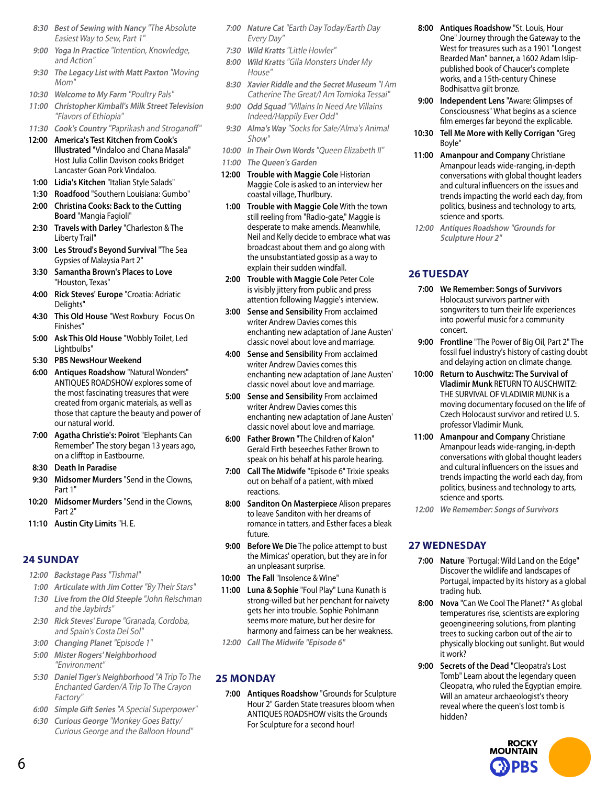- **8:30 Best of Sewing with Nancy** "The Absolute Easiest Way to Sew, Part 1"
- **9:00 Yoga In Practice** "Intention, Knowledge, and Action"
- **9:30 The Legacy List with Matt Paxton** "Moving Mom"
- **10:30 Welcome to My Farm** "Poultry Pals"
- **11:00 Christopher Kimball's Milk Street Television**  "Flavors of Ethiopia"
- **11:30 Cook's Country** "Paprikash and Stroganoff" **12:00 America's Test Kitchen from Cook's Illustrated** "Vindaloo and Chana Masala" Host Julia Collin Davison cooks Bridget Lancaster Goan Pork Vindaloo.
- **1:00 Lidia's Kitchen** "Italian Style Salads"
- **1:30 Roadfood** "Southern Louisiana: Gumbo"
- **2:00 Christina Cooks: Back to the Cutting Board** "Mangia Fagioli"
- **2:30 Travels with Darley** "Charleston & The Liberty Trail"
- **3:00 Les Stroud's Beyond Survival** "The Sea Gypsies of Malaysia Part 2"
- **3:30 Samantha Brown's Places to Love** "Houston, Texas"
- **4:00 Rick Steves' Europe** "Croatia: Adriatic Delights"
- **4:30 This Old House** "West Roxbury Focus On Finishes"
- **5:00 Ask This Old House** "Wobbly Toilet, Led Lightbulbs"
- **5:30 PBS NewsHour Weekend**
- **6:00 Antiques Roadshow** "Natural Wonders" ANTIQUES ROADSHOW explores some of the most fascinating treasures that were created from organic materials, as well as those that capture the beauty and power of our natural world.
- **7:00 Agatha Christie's: Poirot** "Elephants Can Remember" The story began 13 years ago, on a clifftop in Eastbourne.
- **8:30 Death In Paradise**
- **9:30 Midsomer Murders** "Send in the Clowns, Part 1"
- **10:20 Midsomer Murders** "Send in the Clowns, Part 2"
- **11:10 Austin City Limits** "H. E.

#### **24 SUNDAY**

- **12:00 Backstage Pass** "Tishmal"
- **1:00 Articulate with Jim Cotter** "By Their Stars"
- **1:30 Live from the Old Steeple** "John Reischman and the Jaybirds"
- **2:30 Rick Steves' Europe** "Granada, Cordoba, and Spain's Costa Del Sol"
- **3:00 Changing Planet** "Episode 1"
- **5:00 Mister Rogers' Neighborhood**  "Environment"
- **5:30 Daniel Tiger's Neighborhood** "A Trip To The Enchanted Garden/A Trip To The Crayon Factory"
- **6:00 Simple Gift Series** "A Special Superpower"
- **6:30 Curious George** "Monkey Goes Batty/ Curious George and the Balloon Hound"
- **7:00 Nature Cat** "Earth Day Today/Earth Day Every Day"
- **7:30 Wild Kratts** "Little Howler"
- **8:00 Wild Kratts** "Gila Monsters Under My House"
- **8:30 Xavier Riddle and the Secret Museum** "I Am Catherine The Great/I Am Tomioka Tessai"
- **9:00 Odd Squad** "Villains In Need Are Villains Indeed/Happily Ever Odd"
- **9:30 Alma's Way** "Socks for Sale/Alma's Animal Show"
- **10:00 In Their Own Words** "Queen Elizabeth II"
- **11:00 The Queen's Garden**
- **12:00 Trouble with Maggie Cole** Historian Maggie Cole is asked to an interview her coastal village, Thurlbury.
- **1:00 Trouble with Maggie Cole** With the town still reeling from "Radio-gate," Maggie is desperate to make amends. Meanwhile, Neil and Kelly decide to embrace what was broadcast about them and go along with the unsubstantiated gossip as a way to explain their sudden windfall.
- **2:00 Trouble with Maggie Cole** Peter Cole is visibly jittery from public and press attention following Maggie's interview.
- **3:00 Sense and Sensibility** From acclaimed writer Andrew Davies comes this enchanting new adaptation of Jane Austen' classic novel about love and marriage.
- **4:00 Sense and Sensibility** From acclaimed writer Andrew Davies comes this enchanting new adaptation of Jane Austen' classic novel about love and marriage.
- **5:00 Sense and Sensibility** From acclaimed writer Andrew Davies comes this enchanting new adaptation of Jane Austen' classic novel about love and marriage.
- **6:00 Father Brown** "The Children of Kalon" Gerald Firth beseeches Father Brown to speak on his behalf at his parole hearing.
- **7:00 Call The Midwife** "Episode 6" Trixie speaks out on behalf of a patient, with mixed reactions.
- **8:00 Sanditon On Masterpiece** Alison prepares to leave Sanditon with her dreams of romance in tatters, and Esther faces a bleak future.
- **9:00 Before We Die** The police attempt to bust the Mimicas' operation, but they are in for an unpleasant surprise.
- **10:00 The Fall** "Insolence & Wine"
- **11:00 Luna & Sophie** "Foul Play" Luna Kunath is strong-willed but her penchant for naivety gets her into trouble. Sophie Pohlmann seems more mature, but her desire for harmony and fairness can be her weakness.
- **12:00 Call The Midwife "Episode 6"**

## **25 MONDAY**

**7:00 Antiques Roadshow** "Grounds for Sculpture Hour 2" Garden State treasures bloom when ANTIQUES ROADSHOW visits the Grounds For Sculpture for a second hour!

- **8:00 Antiques Roadshow** "St. Louis, Hour One" Journey through the Gateway to the West for treasures such as a 1901 "Longest Bearded Man" banner, a 1602 Adam Islippublished book of Chaucer's complete works, and a 15th-century Chinese Bodhisattva gilt bronze.
- **9:00 Independent Lens** "Aware: Glimpses of Consciousness" What begins as a science film emerges far beyond the explicable.
- **10:30 Tell Me More with Kelly Corrigan** "Greg Boyle"
- **11:00 Amanpour and Company** Christiane Amanpour leads wide-ranging, in-depth conversations with global thought leaders and cultural influencers on the issues and trends impacting the world each day, from politics, business and technology to arts, science and sports.
- **12:00 Antiques Roadshow "Grounds for Sculpture Hour 2"**

## **26 TUESDAY**

- **7:00 We Remember: Songs of Survivors** Holocaust survivors partner with songwriters to turn their life experiences into powerful music for a community concert.
- **9:00 Frontline** "The Power of Big Oil, Part 2" The fossil fuel industry's history of casting doubt and delaying action on climate change.
- **10:00 Return to Auschwitz: The Survival of Vladimir Munk** RETURN TO AUSCHWITZ: THE SURVIVAL OF VLADIMIR MUNK is a moving documentary focused on the life of Czech Holocaust survivor and retired U. S. professor Vladimir Munk.
- **11:00 Amanpour and Company** Christiane Amanpour leads wide-ranging, in-depth conversations with global thought leaders and cultural influencers on the issues and trends impacting the world each day, from politics, business and technology to arts, science and sports.
- **12:00 We Remember: Songs of Survivors**

## **27 WEDNESDAY**

- **7:00 Nature** "Portugal: Wild Land on the Edge" Discover the wildlife and landscapes of Portugal, impacted by its history as a global trading hub.
- **8:00 Nova** "Can We Cool The Planet? " As global temperatures rise, scientists are exploring geoengineering solutions, from planting trees to sucking carbon out of the air to physically blocking out sunlight. But would it work?
- **9:00 Secrets of the Dead** "Cleopatra's Lost Tomb" Learn about the legendary queen Cleopatra, who ruled the Egyptian empire. Will an amateur archaeologist's theory reveal where the queen's lost tomb is hidden?